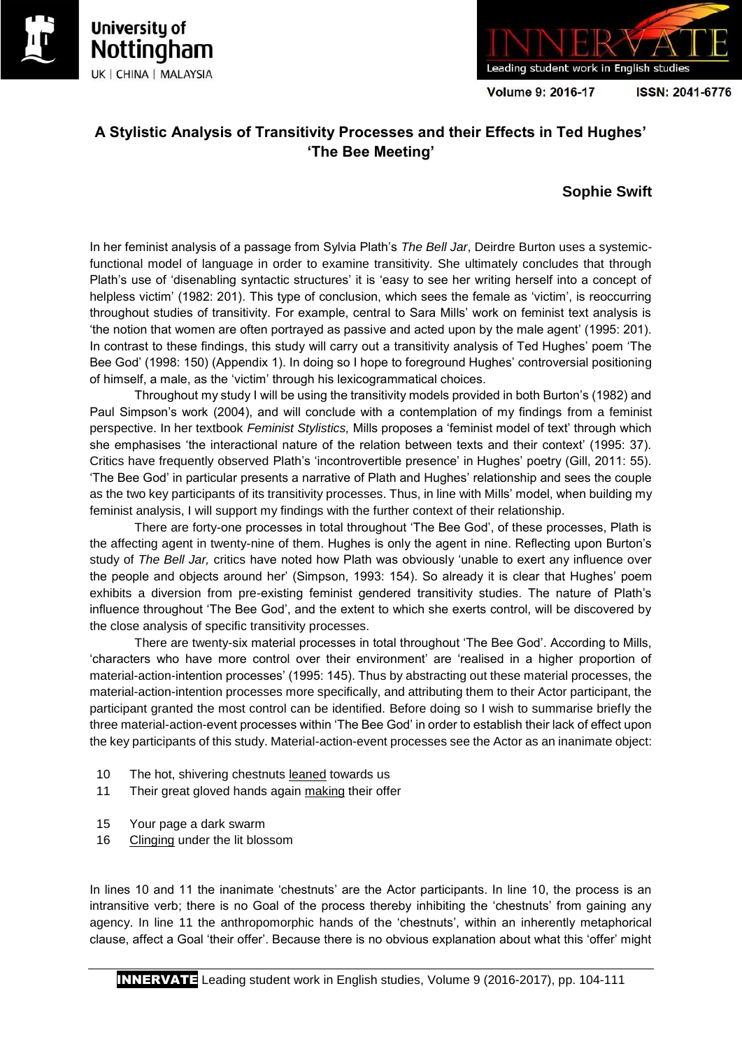





**Volume 9: 2016-17** 

ISSN: 2041-6776

# **A Stylistic Analysis of Transitivity Processes and their Effects in Ted Hughes' 'The Bee Meeting'**

# **Sophie Swift**

In her feminist analysis of a passage from Sylvia Plath's *The Bell Jar*, Deirdre Burton uses a systemicfunctional model of language in order to examine transitivity. She ultimately concludes that through Plath's use of 'disenabling syntactic structures' it is 'easy to see her writing herself into a concept of helpless victim' (1982: 201). This type of conclusion, which sees the female as 'victim', is reoccurring throughout studies of transitivity. For example, central to Sara Mills' work on feminist text analysis is 'the notion that women are often portrayed as passive and acted upon by the male agent' (1995: 201). In contrast to these findings, this study will carry out a transitivity analysis of Ted Hughes' poem 'The Bee God' (1998: 150) (Appendix 1). In doing so I hope to foreground Hughes' controversial positioning of himself, a male, as the 'victim' through his lexicogrammatical choices.

Throughout my study I will be using the transitivity models provided in both Burton's (1982) and Paul Simpson's work (2004), and will conclude with a contemplation of my findings from a feminist perspective. In her textbook *Feminist Stylistics,* Mills proposes a 'feminist model of text' through which she emphasises 'the interactional nature of the relation between texts and their context' (1995: 37). Critics have frequently observed Plath's 'incontrovertible presence' in Hughes' poetry (Gill, 2011: 55). 'The Bee God' in particular presents a narrative of Plath and Hughes' relationship and sees the couple as the two key participants of its transitivity processes. Thus, in line with Mills' model, when building my feminist analysis, I will support my findings with the further context of their relationship.

There are forty-one processes in total throughout 'The Bee God', of these processes, Plath is the affecting agent in twenty-nine of them. Hughes is only the agent in nine. Reflecting upon Burton's study of *The Bell Jar,* critics have noted how Plath was obviously 'unable to exert any influence over the people and objects around her' (Simpson, 1993: 154). So already it is clear that Hughes' poem exhibits a diversion from pre-existing feminist gendered transitivity studies. The nature of Plath's influence throughout 'The Bee God', and the extent to which she exerts control, will be discovered by the close analysis of specific transitivity processes.

There are twenty-six material processes in total throughout 'The Bee God'. According to Mills, 'characters who have more control over their environment' are 'realised in a higher proportion of material-action-intention processes' (1995: 145). Thus by abstracting out these material processes, the material-action-intention processes more specifically, and attributing them to their Actor participant, the participant granted the most control can be identified. Before doing so I wish to summarise briefly the three material-action-event processes within 'The Bee God' in order to establish their lack of effect upon the key participants of this study. Material-action-event processes see the Actor as an inanimate object:

- 10 The hot, shivering chestnuts leaned towards us
- 11 Their great gloved hands again making their offer
- 15 Your page a dark swarm
- 16 Clinging under the lit blossom

In lines 10 and 11 the inanimate 'chestnuts' are the Actor participants. In line 10, the process is an intransitive verb; there is no Goal of the process thereby inhibiting the 'chestnuts' from gaining any agency. In line 11 the anthropomorphic hands of the 'chestnuts', within an inherently metaphorical clause, affect a Goal 'their offer'. Because there is no obvious explanation about what this 'offer' might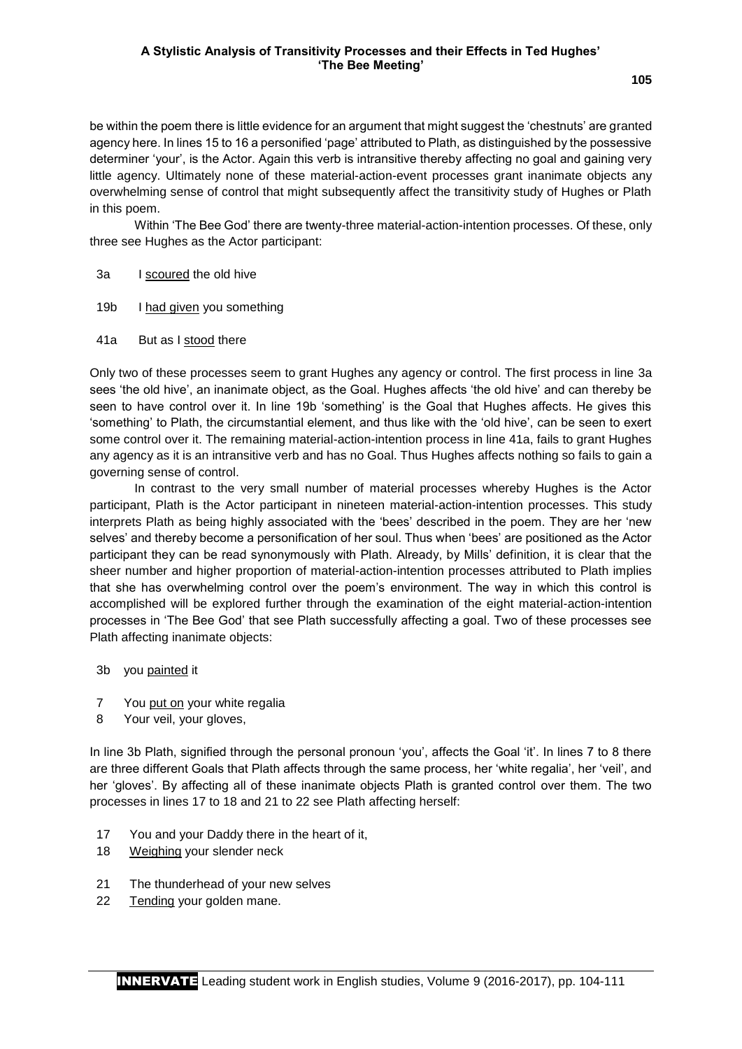### **A Stylistic Analysis of Transitivity Processes and their Effects in Ted Hughes' 'The Bee Meeting'**

be within the poem there is little evidence for an argument that might suggest the 'chestnuts' are granted agency here. In lines 15 to 16 a personified 'page' attributed to Plath, as distinguished by the possessive determiner 'your', is the Actor. Again this verb is intransitive thereby affecting no goal and gaining very little agency. Ultimately none of these material-action-event processes grant inanimate objects any overwhelming sense of control that might subsequently affect the transitivity study of Hughes or Plath in this poem.

Within 'The Bee God' there are twenty-three material-action-intention processes. Of these, only three see Hughes as the Actor participant:

- 3a I scoured the old hive
- 19b I had given you something
- 41a But as I stood there

Only two of these processes seem to grant Hughes any agency or control. The first process in line 3a sees 'the old hive', an inanimate object, as the Goal. Hughes affects 'the old hive' and can thereby be seen to have control over it. In line 19b 'something' is the Goal that Hughes affects. He gives this 'something' to Plath, the circumstantial element, and thus like with the 'old hive', can be seen to exert some control over it. The remaining material-action-intention process in line 41a, fails to grant Hughes any agency as it is an intransitive verb and has no Goal. Thus Hughes affects nothing so fails to gain a governing sense of control.

In contrast to the very small number of material processes whereby Hughes is the Actor participant, Plath is the Actor participant in nineteen material-action-intention processes. This study interprets Plath as being highly associated with the 'bees' described in the poem. They are her 'new selves' and thereby become a personification of her soul. Thus when 'bees' are positioned as the Actor participant they can be read synonymously with Plath. Already, by Mills' definition, it is clear that the sheer number and higher proportion of material-action-intention processes attributed to Plath implies that she has overwhelming control over the poem's environment. The way in which this control is accomplished will be explored further through the examination of the eight material-action-intention processes in 'The Bee God' that see Plath successfully affecting a goal. Two of these processes see Plath affecting inanimate objects:

- 3b you painted it
- 7 You put on your white regalia
- 8 Your veil, your gloves,

In line 3b Plath, signified through the personal pronoun 'you', affects the Goal 'it'. In lines 7 to 8 there are three different Goals that Plath affects through the same process, her 'white regalia', her 'veil', and her 'gloves'. By affecting all of these inanimate objects Plath is granted control over them. The two processes in lines 17 to 18 and 21 to 22 see Plath affecting herself:

- 17 You and your Daddy there in the heart of it,
- 18 Weighing your slender neck
- 21 The thunderhead of your new selves
- 22 Tending your golden mane.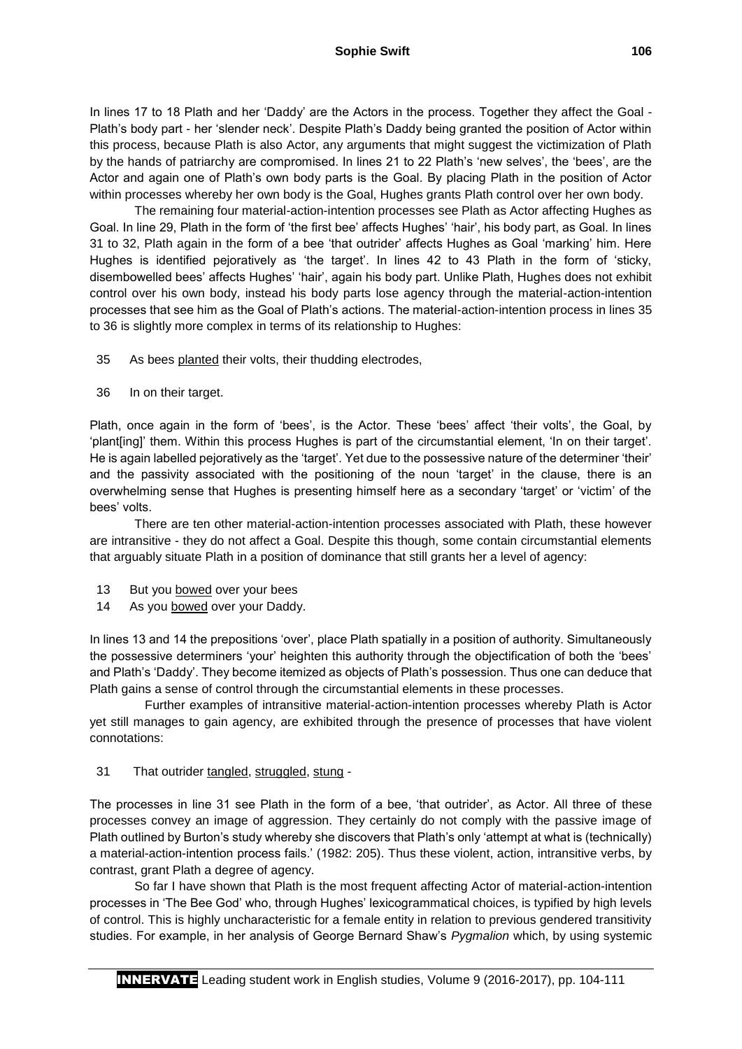In lines 17 to 18 Plath and her 'Daddy' are the Actors in the process. Together they affect the Goal -Plath's body part - her 'slender neck'. Despite Plath's Daddy being granted the position of Actor within this process, because Plath is also Actor, any arguments that might suggest the victimization of Plath by the hands of patriarchy are compromised. In lines 21 to 22 Plath's 'new selves', the 'bees', are the Actor and again one of Plath's own body parts is the Goal. By placing Plath in the position of Actor within processes whereby her own body is the Goal, Hughes grants Plath control over her own body.

The remaining four material-action-intention processes see Plath as Actor affecting Hughes as Goal. In line 29, Plath in the form of 'the first bee' affects Hughes' 'hair', his body part, as Goal. In lines 31 to 32, Plath again in the form of a bee 'that outrider' affects Hughes as Goal 'marking' him. Here Hughes is identified pejoratively as 'the target'. In lines 42 to 43 Plath in the form of 'sticky, disembowelled bees' affects Hughes' 'hair', again his body part. Unlike Plath, Hughes does not exhibit control over his own body, instead his body parts lose agency through the material-action-intention processes that see him as the Goal of Plath's actions. The material-action-intention process in lines 35 to 36 is slightly more complex in terms of its relationship to Hughes:

35 As bees planted their volts, their thudding electrodes,

36 In on their target.

Plath, once again in the form of 'bees', is the Actor. These 'bees' affect 'their volts', the Goal, by 'plant[ing]' them. Within this process Hughes is part of the circumstantial element, 'In on their target'. He is again labelled pejoratively as the 'target'. Yet due to the possessive nature of the determiner 'their' and the passivity associated with the positioning of the noun 'target' in the clause, there is an overwhelming sense that Hughes is presenting himself here as a secondary 'target' or 'victim' of the bees' volts.

There are ten other material-action-intention processes associated with Plath, these however are intransitive - they do not affect a Goal. Despite this though, some contain circumstantial elements that arguably situate Plath in a position of dominance that still grants her a level of agency:

- 13 But you bowed over your bees
- 14 As you bowed over your Daddy.

In lines 13 and 14 the prepositions 'over', place Plath spatially in a position of authority. Simultaneously the possessive determiners 'your' heighten this authority through the objectification of both the 'bees' and Plath's 'Daddy'. They become itemized as objects of Plath's possession. Thus one can deduce that Plath gains a sense of control through the circumstantial elements in these processes.

 Further examples of intransitive material-action-intention processes whereby Plath is Actor yet still manages to gain agency, are exhibited through the presence of processes that have violent connotations:

# 31 That outrider tangled, struggled, stung -

The processes in line 31 see Plath in the form of a bee, 'that outrider', as Actor. All three of these processes convey an image of aggression. They certainly do not comply with the passive image of Plath outlined by Burton's study whereby she discovers that Plath's only 'attempt at what is (technically) a material-action-intention process fails.' (1982: 205). Thus these violent, action, intransitive verbs, by contrast, grant Plath a degree of agency.

So far I have shown that Plath is the most frequent affecting Actor of material-action-intention processes in 'The Bee God' who, through Hughes' lexicogrammatical choices, is typified by high levels of control. This is highly uncharacteristic for a female entity in relation to previous gendered transitivity studies. For example, in her analysis of George Bernard Shaw's *Pygmalion* which, by using systemic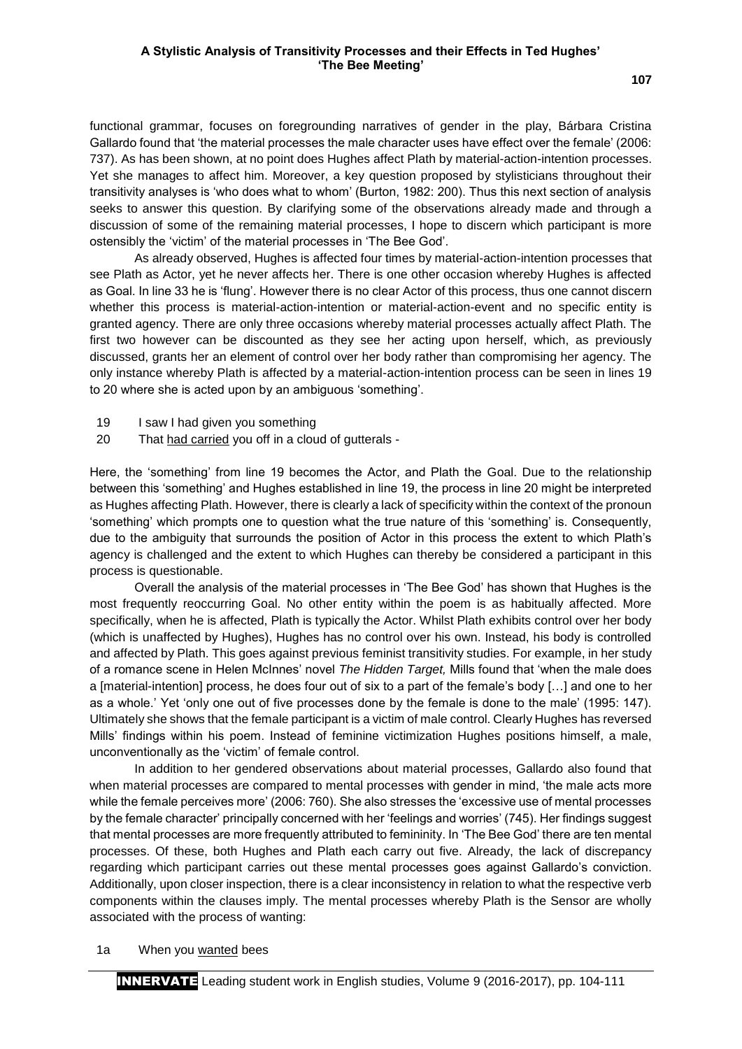functional grammar, focuses on foregrounding narratives of gender in the play, Bárbara Cristina Gallardo found that 'the material processes the male character uses have effect over the female' (2006: 737). As has been shown, at no point does Hughes affect Plath by material-action-intention processes.

Yet she manages to affect him. Moreover, a key question proposed by stylisticians throughout their transitivity analyses is 'who does what to whom' (Burton, 1982: 200). Thus this next section of analysis seeks to answer this question. By clarifying some of the observations already made and through a discussion of some of the remaining material processes, I hope to discern which participant is more ostensibly the 'victim' of the material processes in 'The Bee God'.

As already observed, Hughes is affected four times by material-action-intention processes that see Plath as Actor, yet he never affects her. There is one other occasion whereby Hughes is affected as Goal. In line 33 he is 'flung'. However there is no clear Actor of this process, thus one cannot discern whether this process is material-action-intention or material-action-event and no specific entity is granted agency. There are only three occasions whereby material processes actually affect Plath. The first two however can be discounted as they see her acting upon herself, which, as previously discussed, grants her an element of control over her body rather than compromising her agency. The only instance whereby Plath is affected by a material-action-intention process can be seen in lines 19 to 20 where she is acted upon by an ambiguous 'something'.

- 19 I saw I had given you something
- 20 That had carried you off in a cloud of gutterals -

Here, the 'something' from line 19 becomes the Actor, and Plath the Goal. Due to the relationship between this 'something' and Hughes established in line 19, the process in line 20 might be interpreted as Hughes affecting Plath. However, there is clearly a lack of specificity within the context of the pronoun 'something' which prompts one to question what the true nature of this 'something' is. Consequently, due to the ambiguity that surrounds the position of Actor in this process the extent to which Plath's agency is challenged and the extent to which Hughes can thereby be considered a participant in this process is questionable.

Overall the analysis of the material processes in 'The Bee God' has shown that Hughes is the most frequently reoccurring Goal. No other entity within the poem is as habitually affected. More specifically, when he is affected, Plath is typically the Actor. Whilst Plath exhibits control over her body (which is unaffected by Hughes), Hughes has no control over his own. Instead, his body is controlled and affected by Plath. This goes against previous feminist transitivity studies. For example, in her study of a romance scene in Helen McInnes' novel *The Hidden Target,* Mills found that 'when the male does a [material-intention] process, he does four out of six to a part of the female's body […] and one to her as a whole.' Yet 'only one out of five processes done by the female is done to the male' (1995: 147). Ultimately she shows that the female participant is a victim of male control. Clearly Hughes has reversed Mills' findings within his poem. Instead of feminine victimization Hughes positions himself, a male, unconventionally as the 'victim' of female control.

In addition to her gendered observations about material processes, Gallardo also found that when material processes are compared to mental processes with gender in mind, 'the male acts more while the female perceives more' (2006: 760). She also stresses the 'excessive use of mental processes by the female character' principally concerned with her 'feelings and worries' (745). Her findings suggest that mental processes are more frequently attributed to femininity. In 'The Bee God' there are ten mental processes. Of these, both Hughes and Plath each carry out five. Already, the lack of discrepancy regarding which participant carries out these mental processes goes against Gallardo's conviction. Additionally, upon closer inspection, there is a clear inconsistency in relation to what the respective verb components within the clauses imply. The mental processes whereby Plath is the Sensor are wholly associated with the process of wanting:

#### 1a When you wanted bees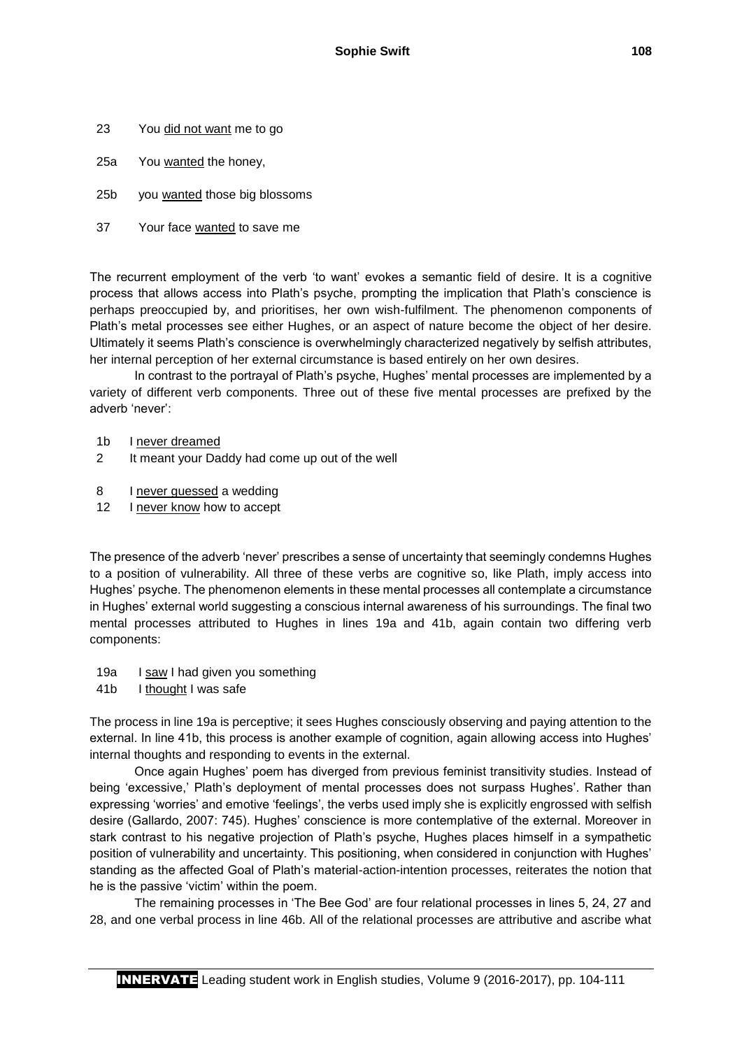- 23 You did not want me to go
- 25a You wanted the honey,
- 25b you wanted those big blossoms
- 37 Your face wanted to save me

The recurrent employment of the verb 'to want' evokes a semantic field of desire. It is a cognitive process that allows access into Plath's psyche, prompting the implication that Plath's conscience is perhaps preoccupied by, and prioritises, her own wish-fulfilment. The phenomenon components of Plath's metal processes see either Hughes, or an aspect of nature become the object of her desire. Ultimately it seems Plath's conscience is overwhelmingly characterized negatively by selfish attributes, her internal perception of her external circumstance is based entirely on her own desires.

In contrast to the portrayal of Plath's psyche, Hughes' mental processes are implemented by a variety of different verb components. Three out of these five mental processes are prefixed by the adverb 'never':

- 1b I never dreamed
- 2 It meant your Daddy had come up out of the well
- 8 I never guessed a wedding
- 12 I never know how to accept

The presence of the adverb 'never' prescribes a sense of uncertainty that seemingly condemns Hughes to a position of vulnerability. All three of these verbs are cognitive so, like Plath, imply access into Hughes' psyche. The phenomenon elements in these mental processes all contemplate a circumstance in Hughes' external world suggesting a conscious internal awareness of his surroundings. The final two mental processes attributed to Hughes in lines 19a and 41b, again contain two differing verb components:

- 19a I saw I had given you something
- 41b I thought I was safe

The process in line 19a is perceptive; it sees Hughes consciously observing and paying attention to the external. In line 41b, this process is another example of cognition, again allowing access into Hughes' internal thoughts and responding to events in the external.

Once again Hughes' poem has diverged from previous feminist transitivity studies. Instead of being 'excessive,' Plath's deployment of mental processes does not surpass Hughes'. Rather than expressing 'worries' and emotive 'feelings', the verbs used imply she is explicitly engrossed with selfish desire (Gallardo, 2007: 745). Hughes' conscience is more contemplative of the external. Moreover in stark contrast to his negative projection of Plath's psyche, Hughes places himself in a sympathetic position of vulnerability and uncertainty. This positioning, when considered in conjunction with Hughes' standing as the affected Goal of Plath's material-action-intention processes, reiterates the notion that he is the passive 'victim' within the poem.

The remaining processes in 'The Bee God' are four relational processes in lines 5, 24, 27 and 28, and one verbal process in line 46b. All of the relational processes are attributive and ascribe what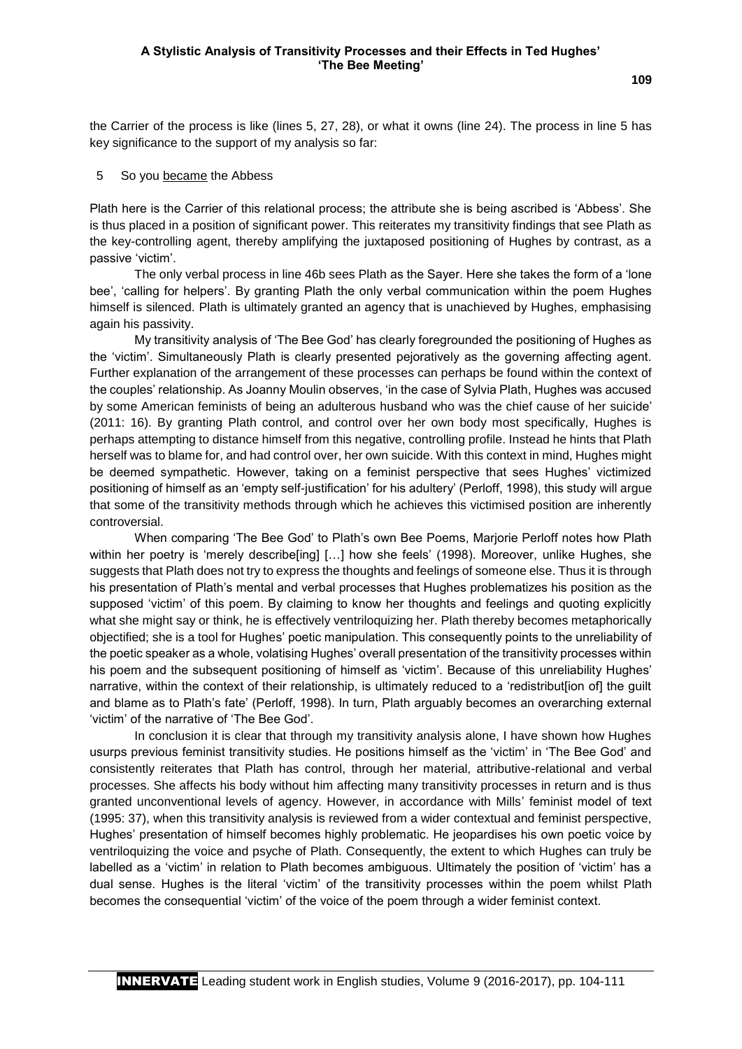the Carrier of the process is like (lines 5, 27, 28), or what it owns (line 24). The process in line 5 has key significance to the support of my analysis so far:

#### 5 So you became the Abbess

Plath here is the Carrier of this relational process; the attribute she is being ascribed is 'Abbess'. She is thus placed in a position of significant power. This reiterates my transitivity findings that see Plath as the key-controlling agent, thereby amplifying the juxtaposed positioning of Hughes by contrast, as a passive 'victim'.

The only verbal process in line 46b sees Plath as the Sayer. Here she takes the form of a 'lone bee', 'calling for helpers'. By granting Plath the only verbal communication within the poem Hughes himself is silenced. Plath is ultimately granted an agency that is unachieved by Hughes, emphasising again his passivity.

My transitivity analysis of 'The Bee God' has clearly foregrounded the positioning of Hughes as the 'victim'. Simultaneously Plath is clearly presented pejoratively as the governing affecting agent. Further explanation of the arrangement of these processes can perhaps be found within the context of the couples' relationship. As Joanny Moulin observes, 'in the case of Sylvia Plath, Hughes was accused by some American feminists of being an adulterous husband who was the chief cause of her suicide' (2011: 16). By granting Plath control, and control over her own body most specifically, Hughes is perhaps attempting to distance himself from this negative, controlling profile. Instead he hints that Plath herself was to blame for, and had control over, her own suicide. With this context in mind, Hughes might be deemed sympathetic. However, taking on a feminist perspective that sees Hughes' victimized positioning of himself as an 'empty self-justification' for his adultery' (Perloff, 1998), this study will argue that some of the transitivity methods through which he achieves this victimised position are inherently controversial.

When comparing 'The Bee God' to Plath's own Bee Poems, Marjorie Perloff notes how Plath within her poetry is 'merely describe[ing] [...] how she feels' (1998). Moreover, unlike Hughes, she suggests that Plath does not try to express the thoughts and feelings of someone else. Thus it is through his presentation of Plath's mental and verbal processes that Hughes problematizes his position as the supposed 'victim' of this poem. By claiming to know her thoughts and feelings and quoting explicitly what she might say or think, he is effectively ventriloquizing her. Plath thereby becomes metaphorically objectified; she is a tool for Hughes' poetic manipulation. This consequently points to the unreliability of the poetic speaker as a whole, volatising Hughes' overall presentation of the transitivity processes within his poem and the subsequent positioning of himself as 'victim'. Because of this unreliability Hughes' narrative, within the context of their relationship, is ultimately reduced to a 'redistribut[ion of] the guilt and blame as to Plath's fate' (Perloff, 1998). In turn, Plath arguably becomes an overarching external 'victim' of the narrative of 'The Bee God'.

In conclusion it is clear that through my transitivity analysis alone, I have shown how Hughes usurps previous feminist transitivity studies. He positions himself as the 'victim' in 'The Bee God' and consistently reiterates that Plath has control, through her material, attributive-relational and verbal processes. She affects his body without him affecting many transitivity processes in return and is thus granted unconventional levels of agency. However, in accordance with Mills' feminist model of text (1995: 37), when this transitivity analysis is reviewed from a wider contextual and feminist perspective, Hughes' presentation of himself becomes highly problematic. He jeopardises his own poetic voice by ventriloquizing the voice and psyche of Plath. Consequently, the extent to which Hughes can truly be labelled as a 'victim' in relation to Plath becomes ambiguous. Ultimately the position of 'victim' has a dual sense. Hughes is the literal 'victim' of the transitivity processes within the poem whilst Plath becomes the consequential 'victim' of the voice of the poem through a wider feminist context.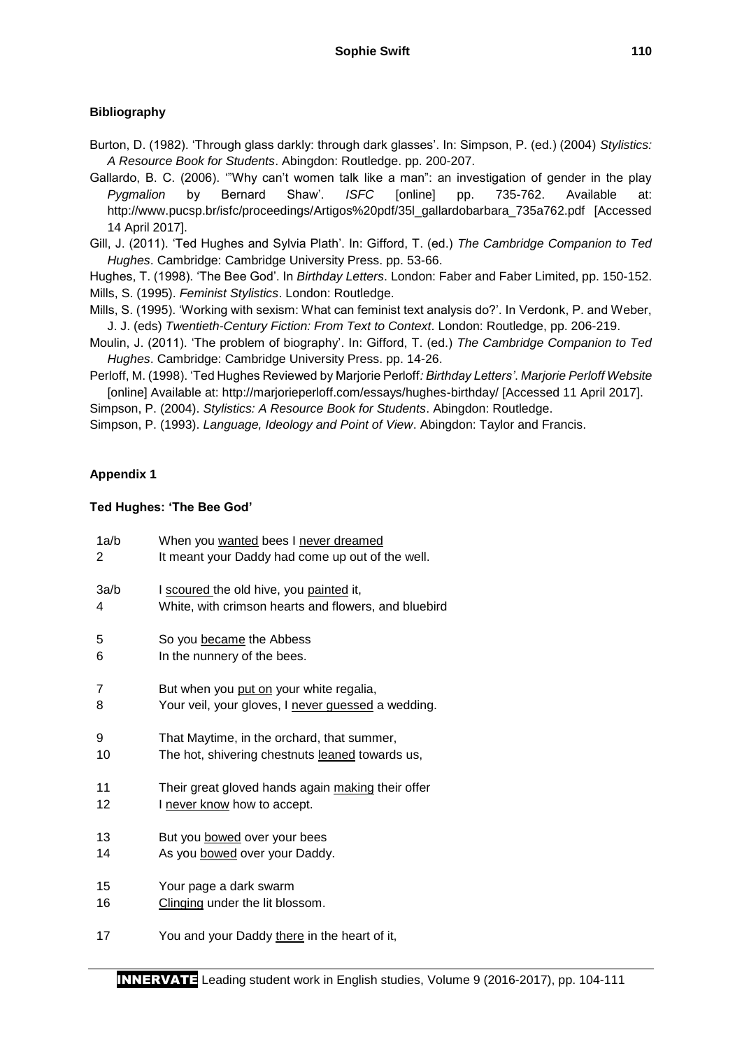# **Bibliography**

Burton, D. (1982). 'Through glass darkly: through dark glasses'. In: Simpson, P. (ed.) (2004) *Stylistics: A Resource Book for Students*. Abingdon: Routledge. pp. 200-207.

Gallardo, B. C. (2006). '"Why can't women talk like a man": an investigation of gender in the play *Pygmalion* by Bernard Shaw'. *ISFC* [online] pp. 735-762. Available at: http://www.pucsp.br/isfc/proceedings/Artigos%20pdf/35l\_gallardobarbara\_735a762.pdf [Accessed 14 April 2017].

Gill, J. (2011). 'Ted Hughes and Sylvia Plath'. In: Gifford, T. (ed.) *The Cambridge Companion to Ted Hughes*. Cambridge: Cambridge University Press. pp. 53-66.

Hughes, T. (1998). 'The Bee God'. In *Birthday Letters*. London: Faber and Faber Limited, pp. 150-152. Mills, S. (1995). *Feminist Stylistics*. London: Routledge.

Mills, S. (1995). 'Working with sexism: What can feminist text analysis do?'. In Verdonk, P. and Weber, J. J. (eds) *Twentieth-Century Fiction: From Text to Context*. London: Routledge, pp. 206-219.

Moulin, J. (2011). 'The problem of biography'. In: Gifford, T. (ed.) *The Cambridge Companion to Ted Hughes*. Cambridge: Cambridge University Press. pp. 14-26.

Perloff, M. (1998). 'Ted Hughes Reviewed by Marjorie Perloff*: Birthday Letters'*. *Marjorie Perloff Website* [online] Available at: http://marjorieperloff.com/essays/hughes-birthday/ [Accessed 11 April 2017]. Simpson, P. (2004). *Stylistics: A Resource Book for Students*. Abingdon: Routledge.

Simpson, P. (1993). *Language, Ideology and Point of View*. Abingdon: Taylor and Francis.

# **Appendix 1**

### **Ted Hughes: 'The Bee God'**

| 1a/b | When you wanted bees I never dreamed                 |
|------|------------------------------------------------------|
| 2    | It meant your Daddy had come up out of the well.     |
| 3a/b | I scoured the old hive, you painted it,              |
| 4    | White, with crimson hearts and flowers, and bluebird |
| 5    | So you became the Abbess                             |
| 6    | In the nunnery of the bees.                          |
| 7    | But when you put on your white regalia,              |
| 8    | Your veil, your gloves, I never quessed a wedding.   |
| 9    | That Maytime, in the orchard, that summer,           |
| 10   | The hot, shivering chestnuts leaned towards us,      |
| 11   | Their great gloved hands again making their offer    |
| 12   | I never know how to accept.                          |
| 13   | But you bowed over your bees                         |
| 14   | As you bowed over your Daddy.                        |
| 15   | Your page a dark swarm                               |
| 16   | Clinging under the lit blossom.                      |
| 17   | You and your Daddy there in the heart of it,         |